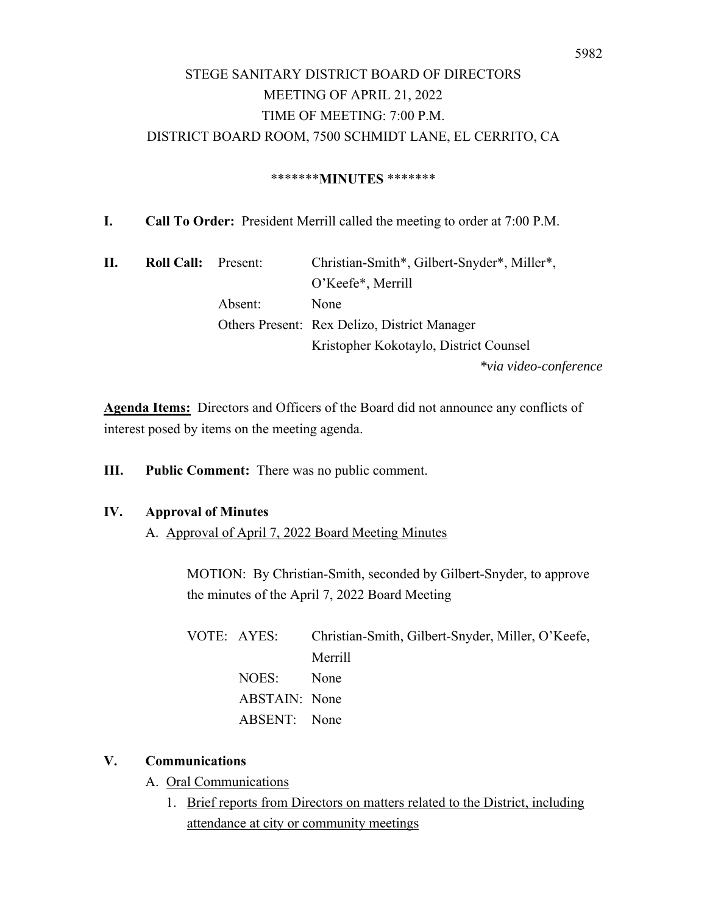### \*\*\*\*\*\*\***MINUTES** \*\*\*\*\*\*\*

**I. Call To Order:** President Merrill called the meeting to order at 7:00 P.M.

| П. | <b>Roll Call:</b> | Present: | Christian-Smith*, Gilbert-Snyder*, Miller*,         |
|----|-------------------|----------|-----------------------------------------------------|
|    |                   |          | O'Keefe*, Merrill                                   |
|    |                   | Absent:  | None                                                |
|    |                   |          | <b>Others Present: Rex Delizo, District Manager</b> |
|    |                   |          | Kristopher Kokotaylo, District Counsel              |
|    |                   |          | *via video-conference                               |

**Agenda Items:** Directors and Officers of the Board did not announce any conflicts of interest posed by items on the meeting agenda.

**III. Public Comment:** There was no public comment.

### **IV. Approval of Minutes**

A. Approval of April 7, 2022 Board Meeting Minutes

MOTION: By Christian-Smith, seconded by Gilbert-Snyder, to approve the minutes of the April 7, 2022 Board Meeting

| VOTE: AYES:   | Christian-Smith, Gilbert-Snyder, Miller, O'Keefe, |
|---------------|---------------------------------------------------|
|               | Merrill                                           |
| NOES:         | None                                              |
| ABSTAIN: None |                                                   |
| ABSENT: None  |                                                   |

### **V. Communications**

- A. Oral Communications
	- 1. Brief reports from Directors on matters related to the District, including attendance at city or community meetings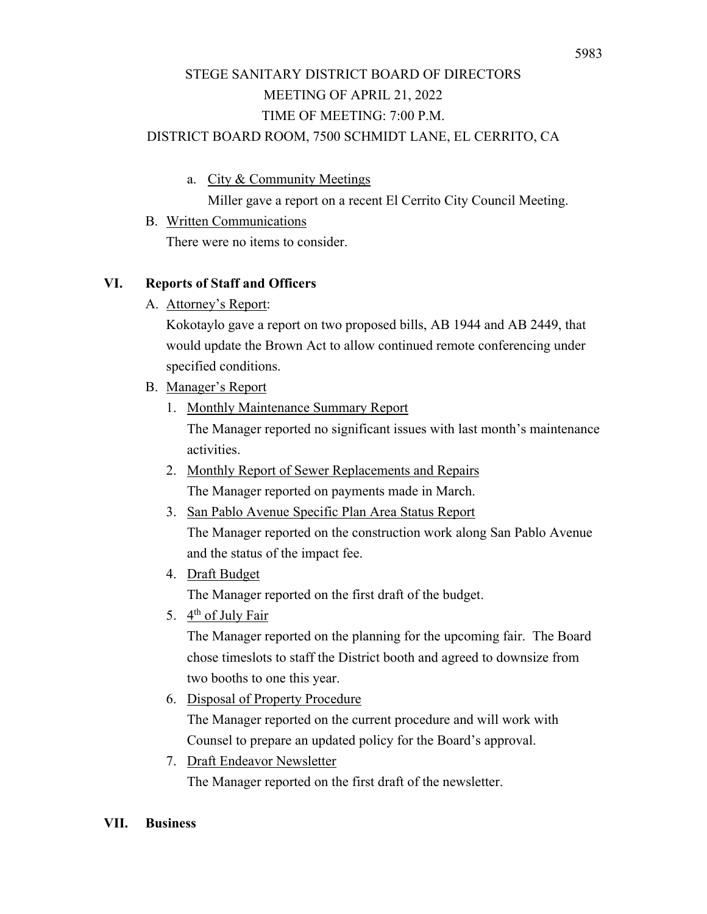a. City & Community Meetings

Miller gave a report on a recent El Cerrito City Council Meeting.

 B. Written Communications There were no items to consider.

## **VI. Reports of Staff and Officers**

A. Attorney's Report:

Kokotaylo gave a report on two proposed bills, AB 1944 and AB 2449, that would update the Brown Act to allow continued remote conferencing under specified conditions.

- B. Manager's Report
	- 1. Monthly Maintenance Summary Report The Manager reported no significant issues with last month's maintenance activities.
	- 2. Monthly Report of Sewer Replacements and Repairs The Manager reported on payments made in March.
	- 3. San Pablo Avenue Specific Plan Area Status Report The Manager reported on the construction work along San Pablo Avenue and the status of the impact fee.
	- 4. Draft Budget

The Manager reported on the first draft of the budget.

5.  $4<sup>th</sup>$  of July Fair

The Manager reported on the planning for the upcoming fair. The Board chose timeslots to staff the District booth and agreed to downsize from two booths to one this year.

6. Disposal of Property Procedure

The Manager reported on the current procedure and will work with Counsel to prepare an updated policy for the Board's approval.

7. Draft Endeavor Newsletter

The Manager reported on the first draft of the newsletter.

#### **VII. Business**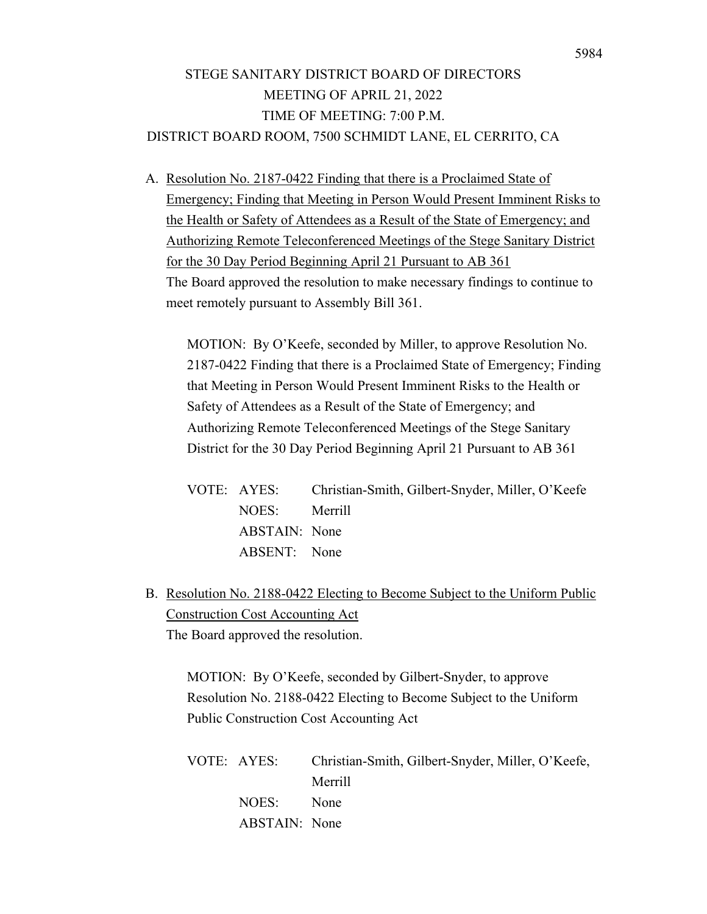A. Resolution No. 2187-0422 Finding that there is a Proclaimed State of Emergency; Finding that Meeting in Person Would Present Imminent Risks to the Health or Safety of Attendees as a Result of the State of Emergency; and Authorizing Remote Teleconferenced Meetings of the Stege Sanitary District for the 30 Day Period Beginning April 21 Pursuant to AB 361 The Board approved the resolution to make necessary findings to continue to meet remotely pursuant to Assembly Bill 361.

MOTION: By O'Keefe, seconded by Miller, to approve Resolution No. 2187-0422 Finding that there is a Proclaimed State of Emergency; Finding that Meeting in Person Would Present Imminent Risks to the Health or Safety of Attendees as a Result of the State of Emergency; and Authorizing Remote Teleconferenced Meetings of the Stege Sanitary District for the 30 Day Period Beginning April 21 Pursuant to AB 361

| VOTE: AYES:   | Christian-Smith, Gilbert-Snyder, Miller, O'Keefe |
|---------------|--------------------------------------------------|
| NOES: Merrill |                                                  |
| ABSTAIN: None |                                                  |
| ABSENT: None  |                                                  |

B. Resolution No. 2188-0422 Electing to Become Subject to the Uniform Public Construction Cost Accounting Act The Board approved the resolution.

MOTION: By O'Keefe, seconded by Gilbert-Snyder, to approve Resolution No. 2188-0422 Electing to Become Subject to the Uniform Public Construction Cost Accounting Act

|               | VOTE: AYES: Christian-Smith, Gilbert-Snyder, Miller, O'Keefe, |
|---------------|---------------------------------------------------------------|
|               | Merrill                                                       |
| NOES: None    |                                                               |
| ABSTAIN: None |                                                               |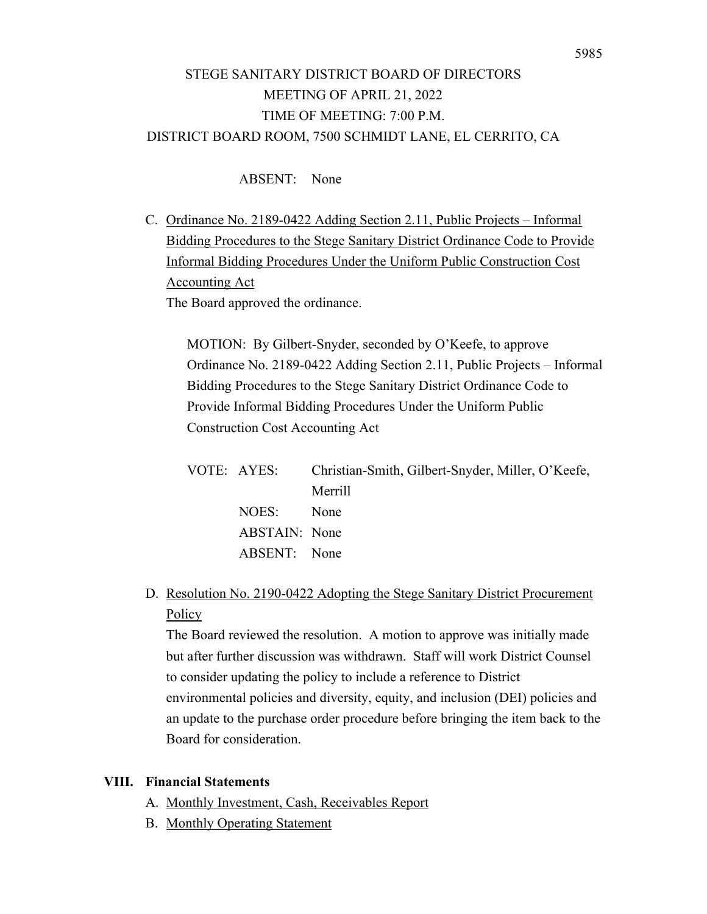### ABSENT: None

C. Ordinance No. 2189-0422 Adding Section 2.11, Public Projects – Informal Bidding Procedures to the Stege Sanitary District Ordinance Code to Provide Informal Bidding Procedures Under the Uniform Public Construction Cost Accounting Act The Board approved the ordinance.

MOTION: By Gilbert-Snyder, seconded by O'Keefe, to approve Ordinance No. 2189-0422 Adding Section 2.11, Public Projects – Informal Bidding Procedures to the Stege Sanitary District Ordinance Code to Provide Informal Bidding Procedures Under the Uniform Public Construction Cost Accounting Act

| VOTE: AYES:   | Christian-Smith, Gilbert-Snyder, Miller, O'Keefe, |
|---------------|---------------------------------------------------|
|               | Merrill                                           |
| NOES:         | <b>None</b>                                       |
| ABSTAIN: None |                                                   |
| ABSENT: None  |                                                   |
|               |                                                   |

D. Resolution No. 2190-0422 Adopting the Stege Sanitary District Procurement Policy

The Board reviewed the resolution. A motion to approve was initially made but after further discussion was withdrawn. Staff will work District Counsel to consider updating the policy to include a reference to District environmental policies and diversity, equity, and inclusion (DEI) policies and an update to the purchase order procedure before bringing the item back to the Board for consideration.

#### **VIII. Financial Statements**

- A. Monthly Investment, Cash, Receivables Report
- B. Monthly Operating Statement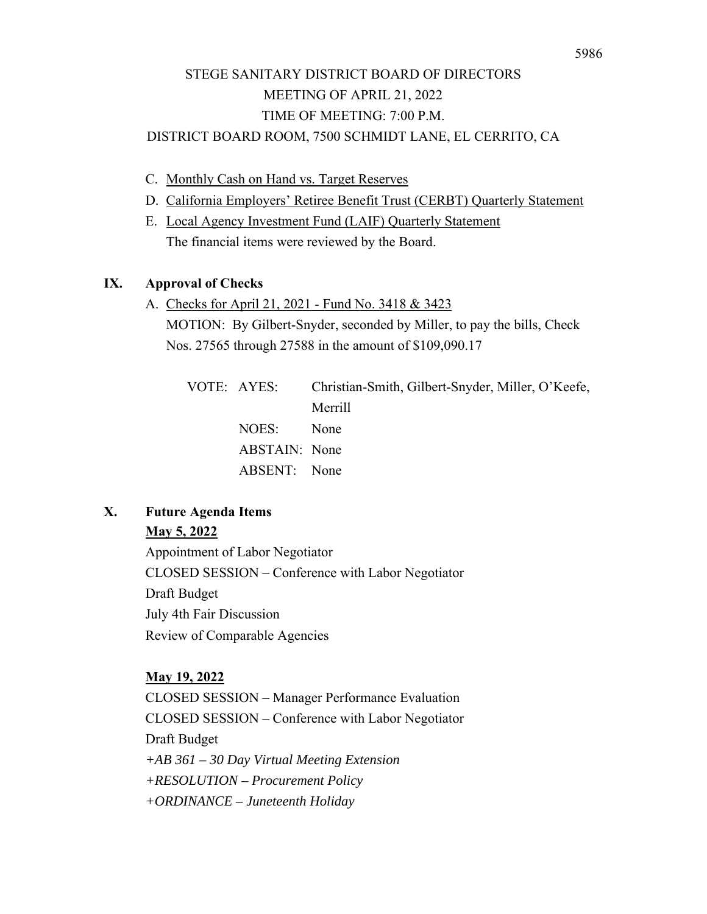- C. Monthly Cash on Hand vs. Target Reserves
- D. California Employers' Retiree Benefit Trust (CERBT) Quarterly Statement
- E. Local Agency Investment Fund (LAIF) Quarterly Statement The financial items were reviewed by the Board.

### **IX. Approval of Checks**

A. Checks for April 21, 2021 - Fund No. 3418 & 3423 MOTION: By Gilbert-Snyder, seconded by Miller, to pay the bills, Check Nos. 27565 through 27588 in the amount of \$109,090.17

| VOTE: AYES:   | Christian-Smith, Gilbert-Snyder, Miller, O'Keefe, |
|---------------|---------------------------------------------------|
|               | Merrill                                           |
| NOES:         | None                                              |
| ABSTAIN: None |                                                   |
| ABSENT: None  |                                                   |
|               |                                                   |

## **X. Future Agenda Items**

### **May 5, 2022**

Appointment of Labor Negotiator CLOSED SESSION – Conference with Labor Negotiator Draft Budget July 4th Fair Discussion Review of Comparable Agencies

### **May 19, 2022**

CLOSED SESSION – Manager Performance Evaluation CLOSED SESSION – Conference with Labor Negotiator Draft Budget *+AB 361 – 30 Day Virtual Meeting Extension +RESOLUTION – Procurement Policy +ORDINANCE – Juneteenth Holiday*